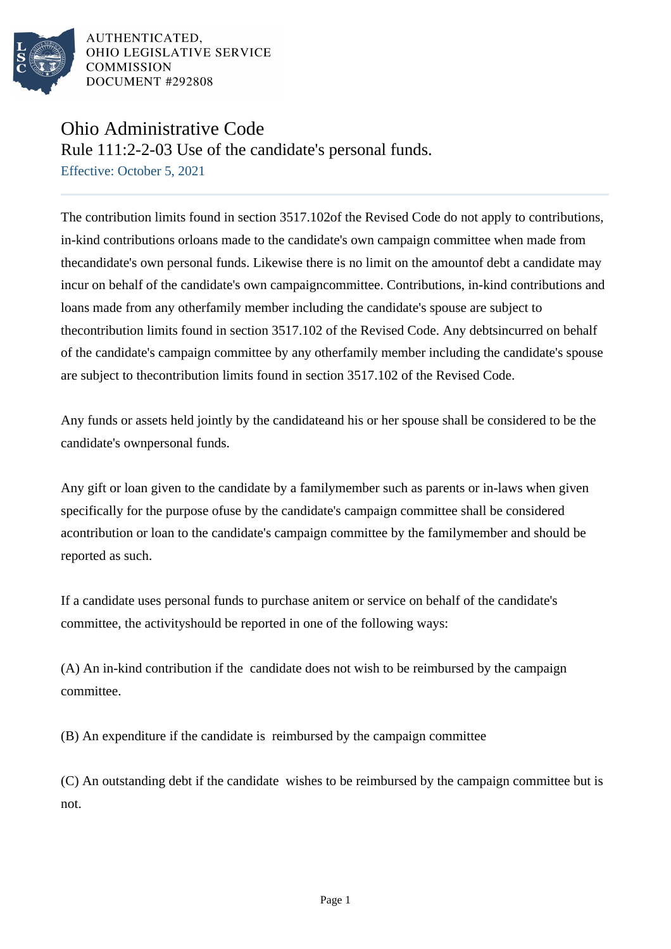

AUTHENTICATED. OHIO LEGISLATIVE SERVICE **COMMISSION** DOCUMENT #292808

## Ohio Administrative Code

Rule 111:2-2-03 Use of the candidate's personal funds.

Effective: October 5, 2021

The contribution limits found in section 3517.102of the Revised Code do not apply to contributions, in-kind contributions orloans made to the candidate's own campaign committee when made from thecandidate's own personal funds. Likewise there is no limit on the amountof debt a candidate may incur on behalf of the candidate's own campaigncommittee. Contributions, in-kind contributions and loans made from any otherfamily member including the candidate's spouse are subject to thecontribution limits found in section 3517.102 of the Revised Code. Any debtsincurred on behalf of the candidate's campaign committee by any otherfamily member including the candidate's spouse are subject to thecontribution limits found in section 3517.102 of the Revised Code.

Any funds or assets held jointly by the candidateand his or her spouse shall be considered to be the candidate's ownpersonal funds.

Any gift or loan given to the candidate by a familymember such as parents or in-laws when given specifically for the purpose ofuse by the candidate's campaign committee shall be considered acontribution or loan to the candidate's campaign committee by the familymember and should be reported as such.

If a candidate uses personal funds to purchase anitem or service on behalf of the candidate's committee, the activityshould be reported in one of the following ways:

(A) An in-kind contribution if the candidate does not wish to be reimbursed by the campaign committee.

(B) An expenditure if the candidate is reimbursed by the campaign committee

(C) An outstanding debt if the candidate wishes to be reimbursed by the campaign committee but is not.